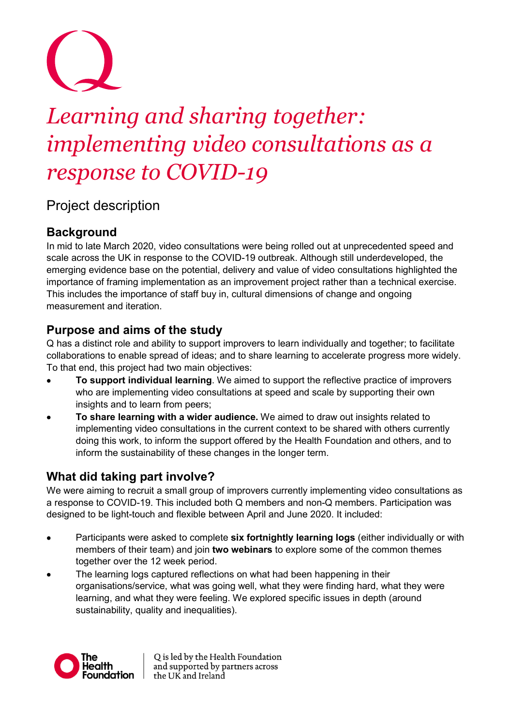# *Learning and sharing together: implementing video consultations as a response to COVID-19*

## Project description

## **Background**

In mid to late March 2020, video consultations were being rolled out at unprecedented speed and scale across the UK in response to the COVID-19 outbreak. Although still underdeveloped, the emerging evidence base on the potential, delivery and value of video consultations highlighted the importance of framing implementation as an improvement project rather than a technical exercise. This includes the importance of staff buy in, cultural dimensions of change and ongoing measurement and iteration.

## **Purpose and aims of the study**

Q has a distinct role and ability to support improvers to learn individually and together; to facilitate collaborations to enable spread of ideas; and to share learning to accelerate progress more widely. To that end, this project had two main objectives:

- **To support individual learning**. We aimed to support the reflective practice of improvers who are implementing video consultations at speed and scale by supporting their own insights and to learn from peers;
- **To share learning with a wider audience.** We aimed to draw out insights related to implementing video consultations in the current context to be shared with others currently doing this work, to inform the support offered by the Health Foundation and others, and to inform the sustainability of these changes in the longer term.

## **What did taking part involve?**

We were aiming to recruit a small group of improvers currently implementing video consultations as a response to COVID-19. This included both Q members and non-Q members. Participation was designed to be light-touch and flexible between April and June 2020. It included:

- Participants were asked to complete **six fortnightly learning logs** (either individually or with members of their team) and join **two webinars** to explore some of the common themes together over the 12 week period.
- The learning logs captured reflections on what had been happening in their organisations/service, what was going well, what they were finding hard, what they were learning, and what they were feeling. We explored specific issues in depth (around sustainability, quality and inequalities).



Q is led by the Health Foundation and supported by partners across the UK and Ireland